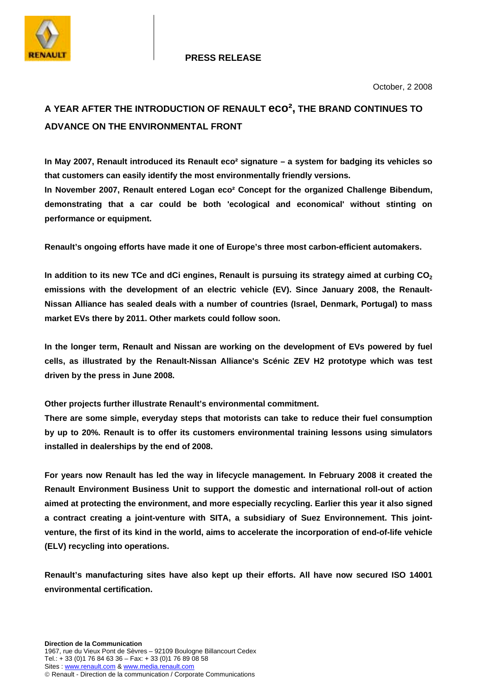

# **PRESS RELEASE**

# **A YEAR AFTER THE INTRODUCTION OF RENAULT eco², THE BRAND CONTINUES TO ADVANCE ON THE ENVIRONMENTAL FRONT**

**In May 2007, Renault introduced its Renault eco² signature – a system for badging its vehicles so that customers can easily identify the most environmentally friendly versions. In November 2007, Renault entered Logan eco² Concept for the organized Challenge Bibendum, demonstrating that a car could be both 'ecological and economical' without stinting on performance or equipment.** 

**Renault's ongoing efforts have made it one of Europe's three most carbon-efficient automakers.** 

In addition to its new TCe and dCi engines, Renault is pursuing its strategy aimed at curbing CO<sub>2</sub> **emissions with the development of an electric vehicle (EV). Since January 2008, the Renault-Nissan Alliance has sealed deals with a number of countries (Israel, Denmark, Portugal) to mass market EVs there by 2011. Other markets could follow soon.** 

**In the longer term, Renault and Nissan are working on the development of EVs powered by fuel cells, as illustrated by the Renault-Nissan Alliance's Scénic ZEV H2 prototype which was test driven by the press in June 2008.** 

**Other projects further illustrate Renault's environmental commitment.** 

**There are some simple, everyday steps that motorists can take to reduce their fuel consumption by up to 20%. Renault is to offer its customers environmental training lessons using simulators installed in dealerships by the end of 2008.** 

**For years now Renault has led the way in lifecycle management. In February 2008 it created the Renault Environment Business Unit to support the domestic and international roll-out of action aimed at protecting the environment, and more especially recycling. Earlier this year it also signed a contract creating a joint-venture with SITA, a subsidiary of Suez Environnement. This jointventure, the first of its kind in the world, aims to accelerate the incorporation of end-of-life vehicle (ELV) recycling into operations.** 

**Renault's manufacturing sites have also kept up their efforts. All have now secured ISO 14001 environmental certification.**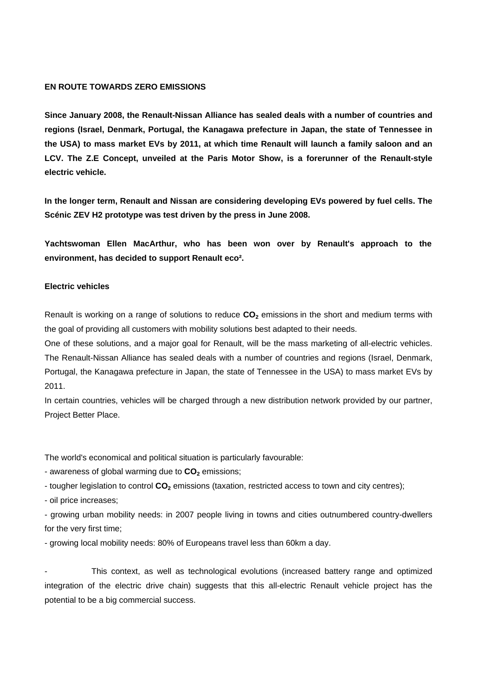#### **EN ROUTE TOWARDS ZERO EMISSIONS**

**Since January 2008, the Renault-Nissan Alliance has sealed deals with a number of countries and regions (Israel, Denmark, Portugal, the Kanagawa prefecture in Japan, the state of Tennessee in the USA) to mass market EVs by 2011, at which time Renault will launch a family saloon and an LCV. The Z.E Concept, unveiled at the Paris Motor Show, is a forerunner of the Renault-style electric vehicle.** 

**In the longer term, Renault and Nissan are considering developing EVs powered by fuel cells. The Scénic ZEV H2 prototype was test driven by the press in June 2008.** 

**Yachtswoman Ellen MacArthur, who has been won over by Renault's approach to the environment, has decided to support Renault eco².** 

## **Electric vehicles**

Renault is working on a range of solutions to reduce  $CO<sub>2</sub>$  emissions in the short and medium terms with the goal of providing all customers with mobility solutions best adapted to their needs.

One of these solutions, and a major goal for Renault, will be the mass marketing of all-electric vehicles. The Renault-Nissan Alliance has sealed deals with a number of countries and regions (Israel, Denmark, Portugal, the Kanagawa prefecture in Japan, the state of Tennessee in the USA) to mass market EVs by 2011.

In certain countries, vehicles will be charged through a new distribution network provided by our partner, Project Better Place.

The world's economical and political situation is particularly favourable:

- awareness of global warming due to  $CO<sub>2</sub>$  emissions;

- tougher legislation to control CO<sub>2</sub> emissions (taxation, restricted access to town and city centres);

- oil price increases;

- growing urban mobility needs: in 2007 people living in towns and cities outnumbered country-dwellers for the very first time;

- growing local mobility needs: 80% of Europeans travel less than 60km a day.

This context, as well as technological evolutions (increased battery range and optimized integration of the electric drive chain) suggests that this all-electric Renault vehicle project has the potential to be a big commercial success.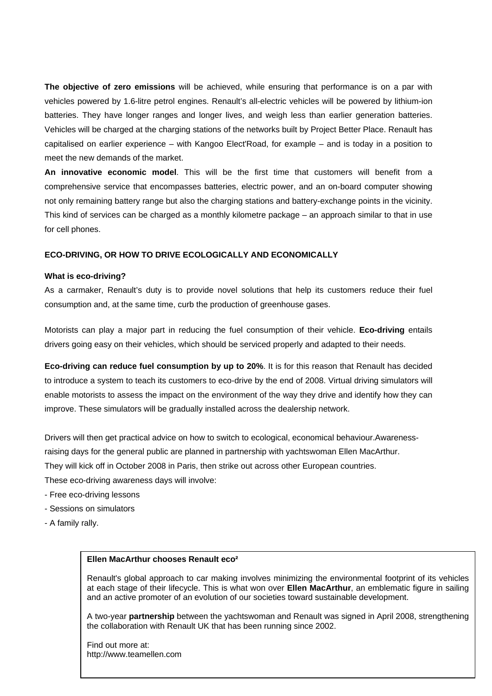**The objective of zero emissions** will be achieved, while ensuring that performance is on a par with vehicles powered by 1.6-litre petrol engines. Renault's all-electric vehicles will be powered by lithium-ion batteries. They have longer ranges and longer lives, and weigh less than earlier generation batteries. Vehicles will be charged at the charging stations of the networks built by Project Better Place. Renault has capitalised on earlier experience – with Kangoo Elect'Road, for example – and is today in a position to meet the new demands of the market.

**An innovative economic model**. This will be the first time that customers will benefit from a comprehensive service that encompasses batteries, electric power, and an on-board computer showing not only remaining battery range but also the charging stations and battery-exchange points in the vicinity. This kind of services can be charged as a monthly kilometre package – an approach similar to that in use for cell phones.

#### **ECO-DRIVING, OR HOW TO DRIVE ECOLOGICALLY AND ECONOMICALLY**

#### **What is eco-driving?**

As a carmaker, Renault's duty is to provide novel solutions that help its customers reduce their fuel consumption and, at the same time, curb the production of greenhouse gases.

Motorists can play a major part in reducing the fuel consumption of their vehicle. **Eco-driving** entails drivers going easy on their vehicles, which should be serviced properly and adapted to their needs.

**Eco-driving can reduce fuel consumption by up to 20%**. It is for this reason that Renault has decided to introduce a system to teach its customers to eco-drive by the end of 2008. Virtual driving simulators will enable motorists to assess the impact on the environment of the way they drive and identify how they can improve. These simulators will be gradually installed across the dealership network.

Drivers will then get practical advice on how to switch to ecological, economical behaviour.Awarenessraising days for the general public are planned in partnership with yachtswoman Ellen MacArthur. They will kick off in October 2008 in Paris, then strike out across other European countries.

These eco-driving awareness days will involve:

- Free eco-driving lessons
- Sessions on simulators
- A family rally.

#### **Ellen MacArthur chooses Renault eco²**

Renault's global approach to car making involves minimizing the environmental footprint of its vehicles at each stage of their lifecycle. This is what won over **Ellen MacArthur**, an emblematic figure in sailing and an active promoter of an evolution of our societies toward sustainable development.

A two-year **partnership** between the yachtswoman and Renault was signed in April 2008, strengthening the collaboration with Renault UK that has been running since 2002.

Find out more at: http://www.teamellen.com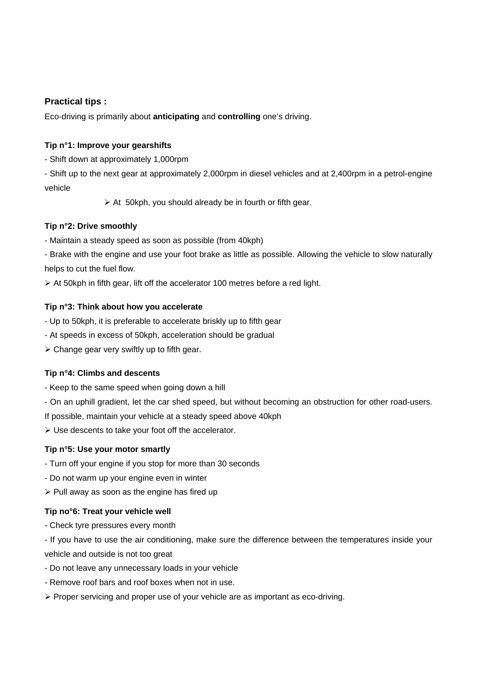# **Practical tips :**

Eco-driving is primarily about **anticipating** and **controlling** one's driving.

# **Tip n°1: Improve your gearshifts**

- Shift down at approximately 1,000rpm

- Shift up to the next gear at approximately 2,000rpm in diesel vehicles and at 2,400rpm in a petrol-engine vehicle

 $\triangleright$  At 50kph, you should already be in fourth or fifth gear.

## **Tip n°2: Drive smoothly**

- Maintain a steady speed as soon as possible (from 40kph)

- Brake with the engine and use your foot brake as little as possible. Allowing the vehicle to slow naturally helps to cut the fuel flow.

 $\triangleright$  At 50kph in fifth gear, lift off the accelerator 100 metres before a red light.

## **Tip n°3: Think about how you accelerate**

- Up to 50kph, it is preferable to accelerate briskly up to fifth gear

- At speeds in excess of 50kph, acceleration should be gradual

 $\triangleright$  Change gear very swiftly up to fifth gear.

## **Tip n°4: Climbs and descents**

- Keep to the same speed when going down a hill

- On an uphill gradient, let the car shed speed, but without becoming an obstruction for other road-users.

If possible, maintain your vehicle at a steady speed above 40kph

 $\triangleright$  Use descents to take your foot off the accelerator.

## **Tip n°5: Use your motor smartly**

- Turn off your engine if you stop for more than 30 seconds
- Do not warm up your engine even in winter
- $\triangleright$  Pull away as soon as the engine has fired up

## **Tip no°6: Treat your vehicle well**

- Check tyre pressures every month

- If you have to use the air conditioning, make sure the difference between the temperatures inside your vehicle and outside is not too great

- Do not leave any unnecessary loads in your vehicle
- Remove roof bars and roof boxes when not in use.
- $\triangleright$  Proper servicing and proper use of your vehicle are as important as eco-driving.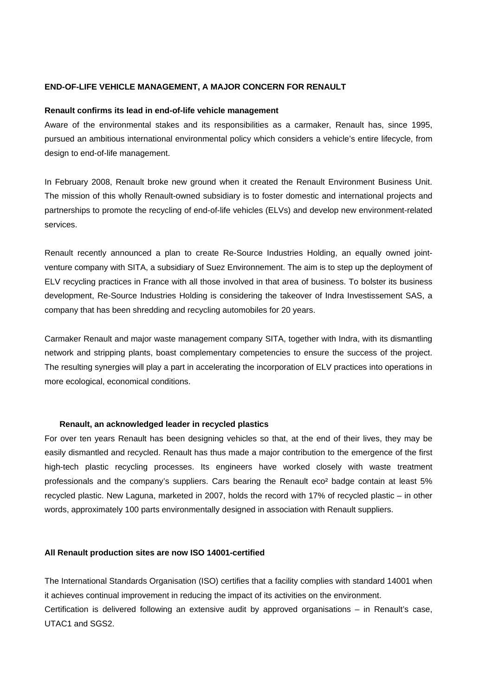#### **END-OF-LIFE VEHICLE MANAGEMENT, A MAJOR CONCERN FOR RENAULT**

#### **Renault confirms its lead in end-of-life vehicle management**

Aware of the environmental stakes and its responsibilities as a carmaker, Renault has, since 1995, pursued an ambitious international environmental policy which considers a vehicle's entire lifecycle, from design to end-of-life management.

In February 2008, Renault broke new ground when it created the Renault Environment Business Unit. The mission of this wholly Renault-owned subsidiary is to foster domestic and international projects and partnerships to promote the recycling of end-of-life vehicles (ELVs) and develop new environment-related services.

Renault recently announced a plan to create Re-Source Industries Holding, an equally owned jointventure company with SITA, a subsidiary of Suez Environnement. The aim is to step up the deployment of ELV recycling practices in France with all those involved in that area of business. To bolster its business development, Re-Source Industries Holding is considering the takeover of Indra Investissement SAS, a company that has been shredding and recycling automobiles for 20 years.

Carmaker Renault and major waste management company SITA, together with Indra, with its dismantling network and stripping plants, boast complementary competencies to ensure the success of the project. The resulting synergies will play a part in accelerating the incorporation of ELV practices into operations in more ecological, economical conditions.

#### **Renault, an acknowledged leader in recycled plastics**

For over ten years Renault has been designing vehicles so that, at the end of their lives, they may be easily dismantled and recycled. Renault has thus made a major contribution to the emergence of the first high-tech plastic recycling processes. Its engineers have worked closely with waste treatment professionals and the company's suppliers. Cars bearing the Renault eco² badge contain at least 5% recycled plastic. New Laguna, marketed in 2007, holds the record with 17% of recycled plastic – in other words, approximately 100 parts environmentally designed in association with Renault suppliers.

#### **All Renault production sites are now ISO 14001-certified**

The International Standards Organisation (ISO) certifies that a facility complies with standard 14001 when it achieves continual improvement in reducing the impact of its activities on the environment. Certification is delivered following an extensive audit by approved organisations – in Renault's case, UTAC1 and SGS2.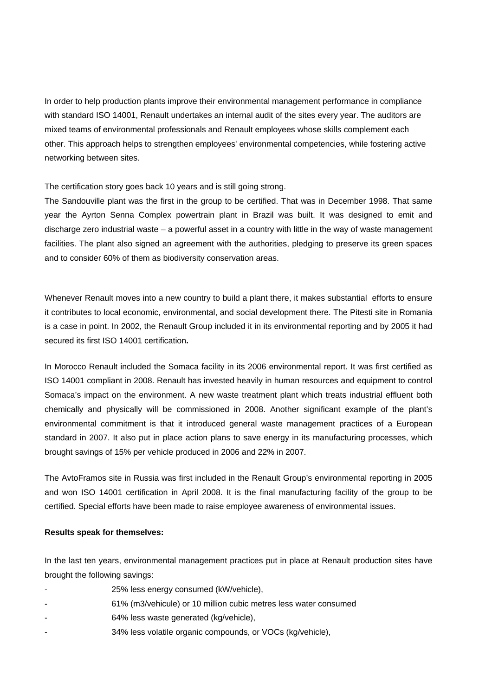In order to help production plants improve their environmental management performance in compliance with standard ISO 14001, Renault undertakes an internal audit of the sites every year. The auditors are mixed teams of environmental professionals and Renault employees whose skills complement each other. This approach helps to strengthen employees' environmental competencies, while fostering active networking between sites.

The certification story goes back 10 years and is still going strong.

The Sandouville plant was the first in the group to be certified. That was in December 1998. That same year the Ayrton Senna Complex powertrain plant in Brazil was built. It was designed to emit and discharge zero industrial waste – a powerful asset in a country with little in the way of waste management facilities. The plant also signed an agreement with the authorities, pledging to preserve its green spaces and to consider 60% of them as biodiversity conservation areas.

Whenever Renault moves into a new country to build a plant there, it makes substantial efforts to ensure it contributes to local economic, environmental, and social development there. The Pitesti site in Romania is a case in point. In 2002, the Renault Group included it in its environmental reporting and by 2005 it had secured its first ISO 14001 certification**.** 

In Morocco Renault included the Somaca facility in its 2006 environmental report. It was first certified as ISO 14001 compliant in 2008. Renault has invested heavily in human resources and equipment to control Somaca's impact on the environment. A new waste treatment plant which treats industrial effluent both chemically and physically will be commissioned in 2008. Another significant example of the plant's environmental commitment is that it introduced general waste management practices of a European standard in 2007. It also put in place action plans to save energy in its manufacturing processes, which brought savings of 15% per vehicle produced in 2006 and 22% in 2007.

The AvtoFramos site in Russia was first included in the Renault Group's environmental reporting in 2005 and won ISO 14001 certification in April 2008. It is the final manufacturing facility of the group to be certified. Special efforts have been made to raise employee awareness of environmental issues.

## **Results speak for themselves:**

In the last ten years, environmental management practices put in place at Renault production sites have brought the following savings:

- 25% less energy consumed (kW/vehicle),
- 61% (m3/vehicule) or 10 million cubic metres less water consumed
- 64% less waste generated (kg/vehicle),
- 34% less volatile organic compounds, or VOCs (kg/vehicle),